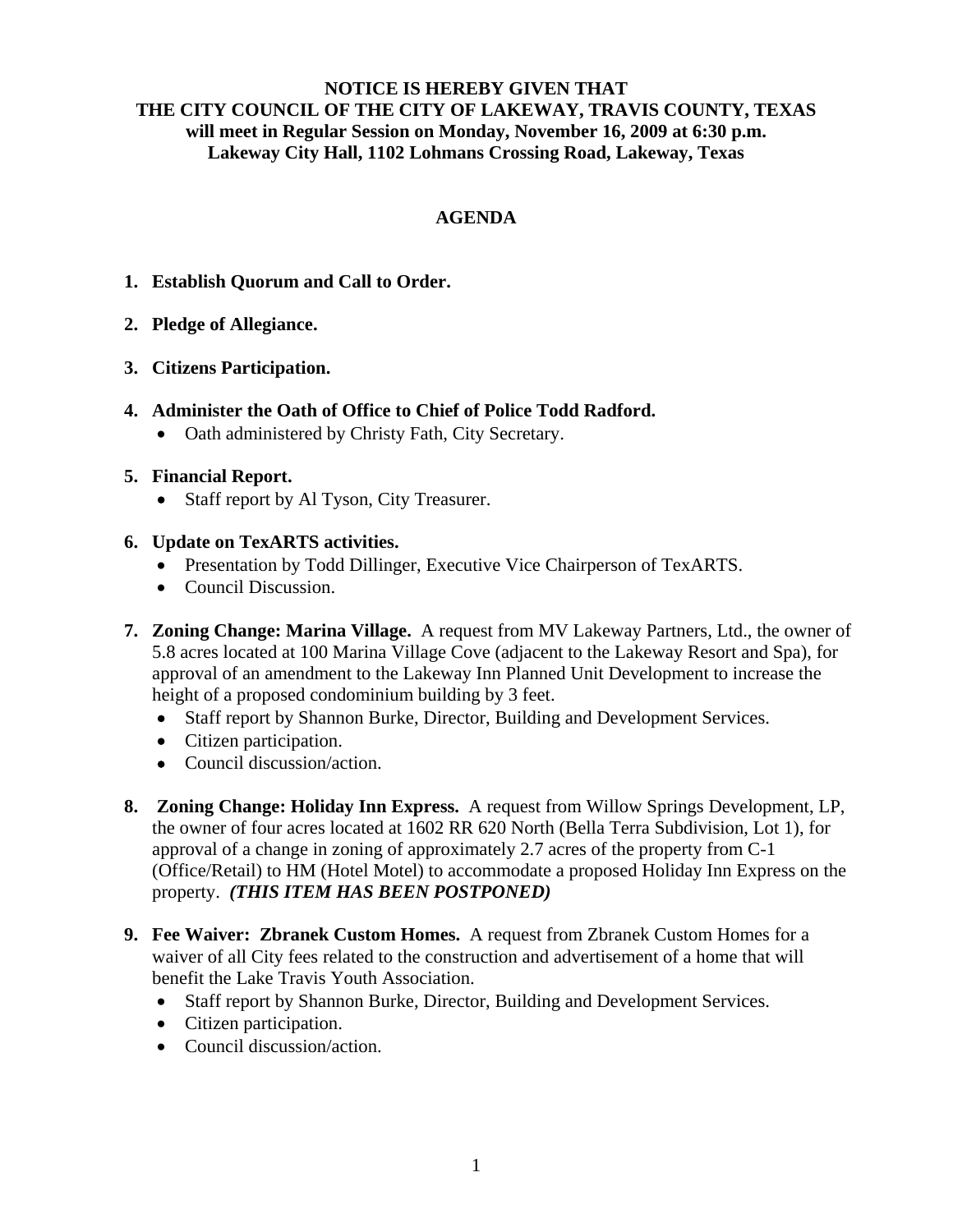## **NOTICE IS HEREBY GIVEN THAT THE CITY COUNCIL OF THE CITY OF LAKEWAY, TRAVIS COUNTY, TEXAS will meet in Regular Session on Monday, November 16, 2009 at 6:30 p.m. Lakeway City Hall, 1102 Lohmans Crossing Road, Lakeway, Texas**

## **AGENDA**

- **1. Establish Quorum and Call to Order.**
- **2. Pledge of Allegiance.**
- **3. Citizens Participation.**
- **4. Administer the Oath of Office to Chief of Police Todd Radford.** 
	- Oath administered by Christy Fath, City Secretary.

### **5. Financial Report.**

- Staff report by Al Tyson, City Treasurer.
- **6. Update on TexARTS activities.**
	- Presentation by Todd Dillinger, Executive Vice Chairperson of TexARTS.
	- Council Discussion.
- **7. Zoning Change: Marina Village.** A request from MV Lakeway Partners, Ltd., the owner of 5.8 acres located at 100 Marina Village Cove (adjacent to the Lakeway Resort and Spa), for approval of an amendment to the Lakeway Inn Planned Unit Development to increase the height of a proposed condominium building by 3 feet.
	- Staff report by Shannon Burke, Director, Building and Development Services.
	- Citizen participation.
	- Council discussion/action.
- **8. Zoning Change: Holiday Inn Express.** A request from Willow Springs Development, LP, the owner of four acres located at 1602 RR 620 North (Bella Terra Subdivision, Lot 1), for approval of a change in zoning of approximately 2.7 acres of the property from C-1 (Office/Retail) to HM (Hotel Motel) to accommodate a proposed Holiday Inn Express on the property. *(THIS ITEM HAS BEEN POSTPONED)*
- **9. Fee Waiver: Zbranek Custom Homes.** A request from Zbranek Custom Homes for a waiver of all City fees related to the construction and advertisement of a home that will benefit the Lake Travis Youth Association.
	- Staff report by Shannon Burke, Director, Building and Development Services.
	- Citizen participation.
	- Council discussion/action.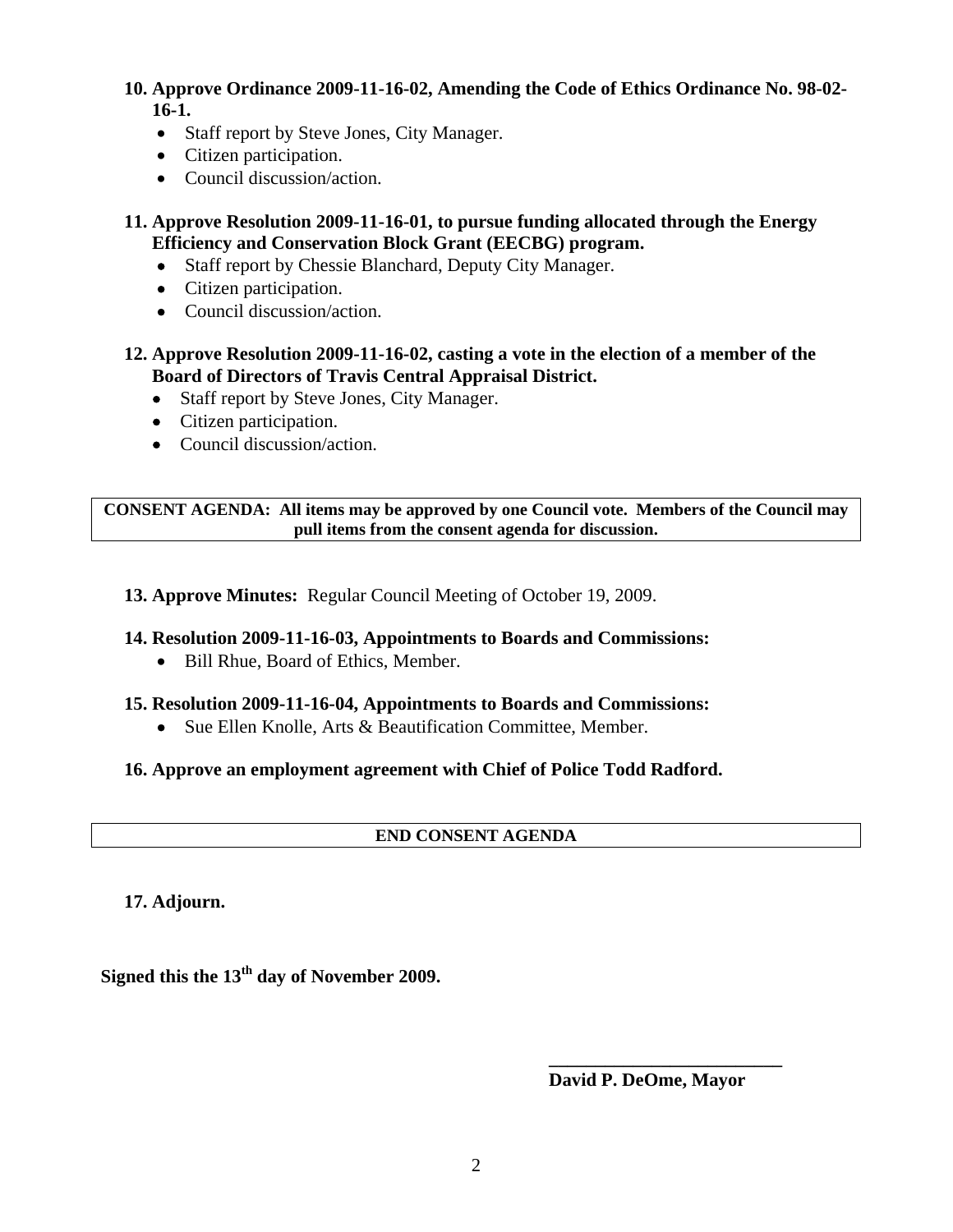# **10. Approve Ordinance 2009-11-16-02, Amending the Code of Ethics Ordinance No. 98-02- 16-1.**

- Staff report by Steve Jones, City Manager.
- Citizen participation.
- Council discussion/action.
- **11. Approve Resolution 2009-11-16-01, to pursue funding allocated through the Energy Efficiency and Conservation Block Grant (EECBG) program.**
	- Staff report by Chessie Blanchard, Deputy City Manager.
	- Citizen participation.
	- Council discussion/action.
- **12. Approve Resolution 2009-11-16-02, casting a vote in the election of a member of the Board of Directors of Travis Central Appraisal District.**
	- Staff report by Steve Jones, City Manager.
	- Citizen participation.
	- Council discussion/action.

**CONSENT AGENDA: All items may be approved by one Council vote. Members of the Council may pull items from the consent agenda for discussion.** 

**13. Approve Minutes:** Regular Council Meeting of October 19, 2009.

### **14. Resolution 2009-11-16-03, Appointments to Boards and Commissions:**

- Bill Rhue, Board of Ethics, Member.
- **15. Resolution 2009-11-16-04, Appointments to Boards and Commissions:**
	- Sue Ellen Knolle, Arts & Beautification Committee, Member.

### **16. Approve an employment agreement with Chief of Police Todd Radford.**

## **END CONSENT AGENDA**

**17. Adjourn.** 

**Signed this the 13th day of November 2009.** 

**David P. DeOme, Mayor** 

 **\_\_\_\_\_\_\_\_\_\_\_\_\_\_\_\_\_\_\_\_\_\_\_\_\_**